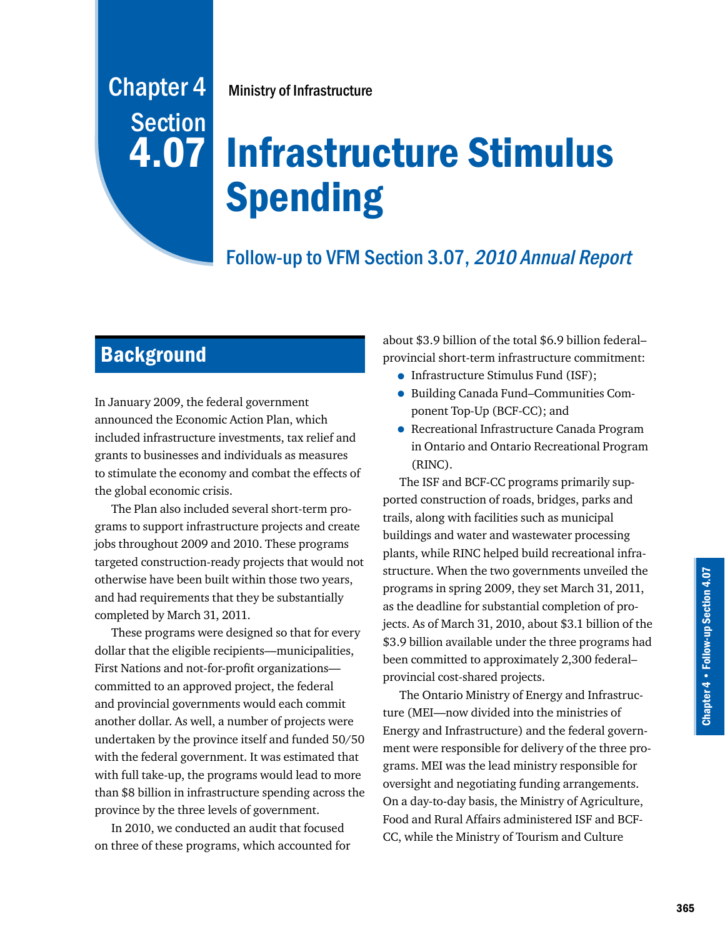# Chapter 4 Ministry of Infrastructure **Section**

# 4.07 Infrastructure Stimulus Spending

# Follow-up to VFM Section 3.07, 2010 Annual Report

## **Background**

In January 2009, the federal government announced the Economic Action Plan, which included infrastructure investments, tax relief and grants to businesses and individuals as measures to stimulate the economy and combat the effects of the global economic crisis.

The Plan also included several short-term programs to support infrastructure projects and create jobs throughout 2009 and 2010. These programs targeted construction-ready projects that would not otherwise have been built within those two years, and had requirements that they be substantially completed by March 31, 2011.

These programs were designed so that for every dollar that the eligible recipients—municipalities, First Nations and not-for-profit organizations committed to an approved project, the federal and provincial governments would each commit another dollar. As well, a number of projects were undertaken by the province itself and funded 50/50 with the federal government. It was estimated that with full take-up, the programs would lead to more than \$8 billion in infrastructure spending across the province by the three levels of government.

In 2010, we conducted an audit that focused on three of these programs, which accounted for

about \$3.9 billion of the total \$6.9 billion federal– provincial short-term infrastructure commitment:

- Infrastructure Stimulus Fund (ISF);
- Building Canada Fund–Communities Component Top-Up (BCF-CC); and
- Recreational Infrastructure Canada Program in Ontario and Ontario Recreational Program (RINC).

The ISF and BCF-CC programs primarily supported construction of roads, bridges, parks and trails, along with facilities such as municipal buildings and water and wastewater processing plants, while RINC helped build recreational infrastructure. When the two governments unveiled the programs in spring 2009, they set March 31, 2011, as the deadline for substantial completion of projects. As of March 31, 2010, about \$3.1 billion of the \$3.9 billion available under the three programs had been committed to approximately 2,300 federal– provincial cost-shared projects.

The Ontario Ministry of Energy and Infrastructure (MEI—now divided into the ministries of Energy and Infrastructure) and the federal government were responsible for delivery of the three programs. MEI was the lead ministry responsible for oversight and negotiating funding arrangements. On a day-to-day basis, the Ministry of Agriculture, Food and Rural Affairs administered ISF and BCF-CC, while the Ministry of Tourism and Culture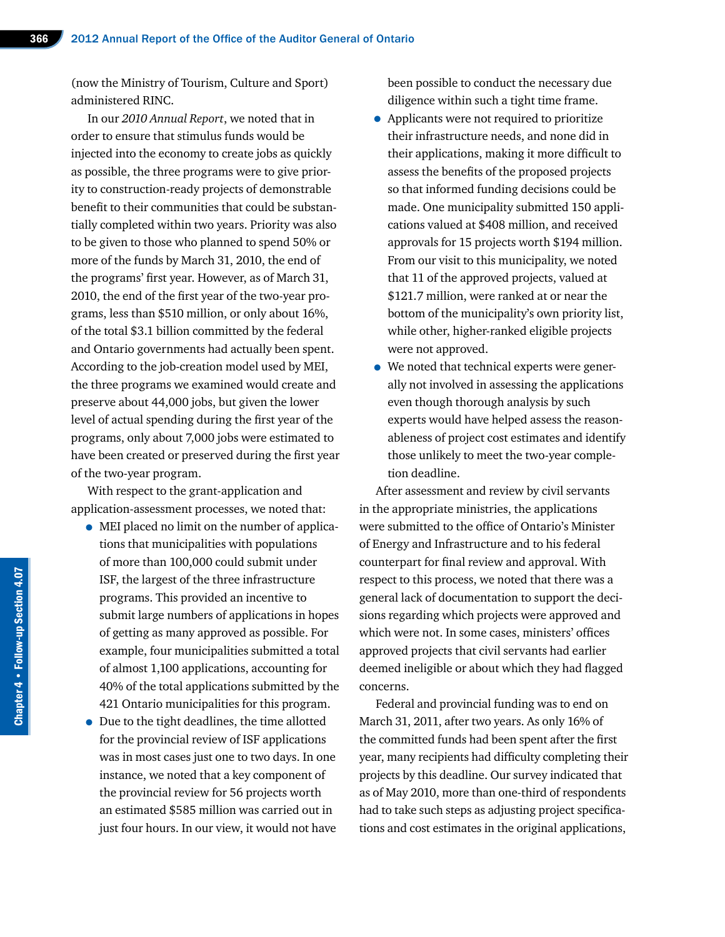(now the Ministry of Tourism, Culture and Sport) administered RINC.

In our *2010 Annual Report*, we noted that in order to ensure that stimulus funds would be injected into the economy to create jobs as quickly as possible, the three programs were to give priority to construction-ready projects of demonstrable benefit to their communities that could be substantially completed within two years. Priority was also to be given to those who planned to spend 50% or more of the funds by March 31, 2010, the end of the programs' first year. However, as of March 31, 2010, the end of the first year of the two-year programs, less than \$510 million, or only about 16%, of the total \$3.1 billion committed by the federal and Ontario governments had actually been spent. According to the job-creation model used by MEI, the three programs we examined would create and preserve about 44,000 jobs, but given the lower level of actual spending during the first year of the programs, only about 7,000 jobs were estimated to have been created or preserved during the first year of the two-year program.

With respect to the grant-application and application-assessment processes, we noted that:

- MEI placed no limit on the number of applications that municipalities with populations of more than 100,000 could submit under ISF, the largest of the three infrastructure programs. This provided an incentive to submit large numbers of applications in hopes of getting as many approved as possible. For example, four municipalities submitted a total of almost 1,100 applications, accounting for 40% of the total applications submitted by the 421 Ontario municipalities for this program.
- Due to the tight deadlines, the time allotted for the provincial review of ISF applications was in most cases just one to two days. In one instance, we noted that a key component of the provincial review for 56 projects worth an estimated \$585 million was carried out in just four hours. In our view, it would not have

been possible to conduct the necessary due diligence within such a tight time frame.

- Applicants were not required to prioritize their infrastructure needs, and none did in their applications, making it more difficult to assess the benefits of the proposed projects so that informed funding decisions could be made. One municipality submitted 150 applications valued at \$408 million, and received approvals for 15 projects worth \$194 million. From our visit to this municipality, we noted that 11 of the approved projects, valued at \$121.7 million, were ranked at or near the bottom of the municipality's own priority list, while other, higher-ranked eligible projects were not approved.
- We noted that technical experts were generally not involved in assessing the applications even though thorough analysis by such experts would have helped assess the reasonableness of project cost estimates and identify those unlikely to meet the two-year completion deadline.

After assessment and review by civil servants in the appropriate ministries, the applications were submitted to the office of Ontario's Minister of Energy and Infrastructure and to his federal counterpart for final review and approval. With respect to this process, we noted that there was a general lack of documentation to support the decisions regarding which projects were approved and which were not. In some cases, ministers' offices approved projects that civil servants had earlier deemed ineligible or about which they had flagged concerns.

Federal and provincial funding was to end on March 31, 2011, after two years. As only 16% of the committed funds had been spent after the first year, many recipients had difficulty completing their projects by this deadline. Our survey indicated that as of May 2010, more than one-third of respondents had to take such steps as adjusting project specifications and cost estimates in the original applications,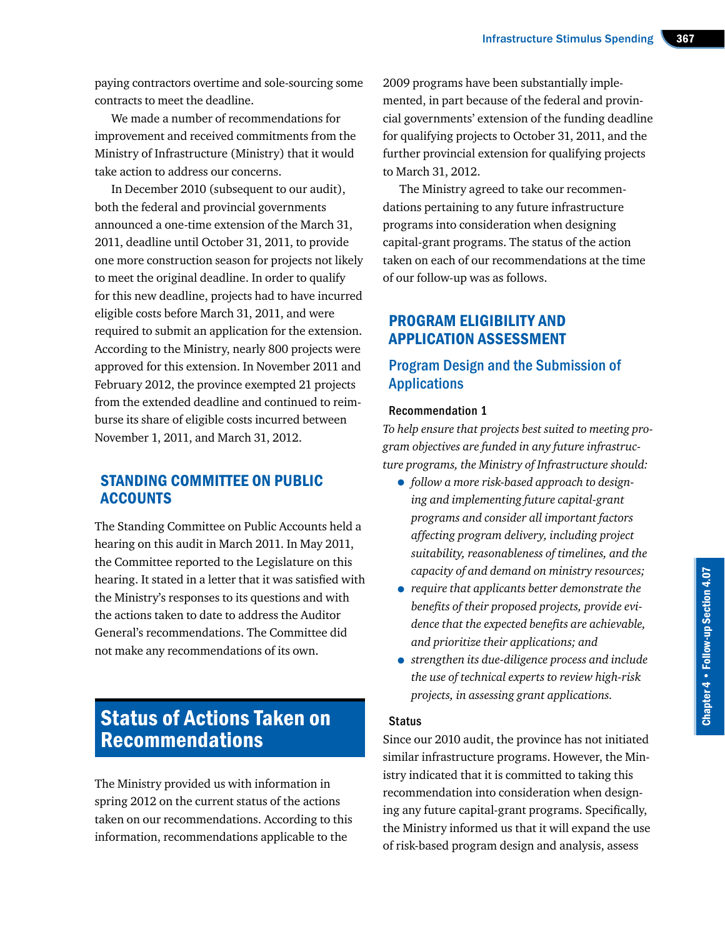paying contractors overtime and sole-sourcing some contracts to meet the deadline.

We made a number of recommendations for improvement and received commitments from the Ministry of Infrastructure (Ministry) that it would take action to address our concerns.

In December 2010 (subsequent to our audit), both the federal and provincial governments announced a one-time extension of the March 31, 2011, deadline until October 31, 2011, to provide one more construction season for projects not likely to meet the original deadline. In order to qualify for this new deadline, projects had to have incurred eligible costs before March 31, 2011, and were required to submit an application for the extension. According to the Ministry, nearly 800 projects were approved for this extension. In November 2011 and February 2012, the province exempted 21 projects from the extended deadline and continued to reimburse its share of eligible costs incurred between November 1, 2011, and March 31, 2012.

#### STANDING COMMITTEE ON PUBLIC **ACCOUNTS**

The Standing Committee on Public Accounts held a hearing on this audit in March 2011. In May 2011, the Committee reported to the Legislature on this hearing. It stated in a letter that it was satisfied with the Ministry's responses to its questions and with the actions taken to date to address the Auditor General's recommendations. The Committee did not make any recommendations of its own.

### Status of Actions Taken on Recommendations

The Ministry provided us with information in spring 2012 on the current status of the actions taken on our recommendations. According to this information, recommendations applicable to the

2009 programs have been substantially implemented, in part because of the federal and provincial governments' extension of the funding deadline for qualifying projects to October 31, 2011, and the further provincial extension for qualifying projects to March 31, 2012.

The Ministry agreed to take our recommendations pertaining to any future infrastructure programs into consideration when designing capital-grant programs. The status of the action taken on each of our recommendations at the time of our follow-up was as follows.

#### PROGRAM ELIGIBILITY AND APPLICATION ASSESSMENT

#### Program Design and the Submission of **Applications**

#### Recommendation 1

*To help ensure that projects best suited to meeting program objectives are funded in any future infrastructure programs, the Ministry of Infrastructure should:*

- *follow a more risk-based approach to designing and implementing future capital-grant programs and consider all important factors affecting program delivery, including project suitability, reasonableness of timelines, and the capacity of and demand on ministry resources;*
- *require that applicants better demonstrate the benefits of their proposed projects, provide evidence that the expected benefits are achievable, and prioritize their applications; and*
- *strengthen its due-diligence process and include the use of technical experts to review high-risk projects, in assessing grant applications.*

#### **Status**

Since our 2010 audit, the province has not initiated similar infrastructure programs. However, the Ministry indicated that it is committed to taking this recommendation into consideration when designing any future capital-grant programs. Specifically, the Ministry informed us that it will expand the use of risk-based program design and analysis, assess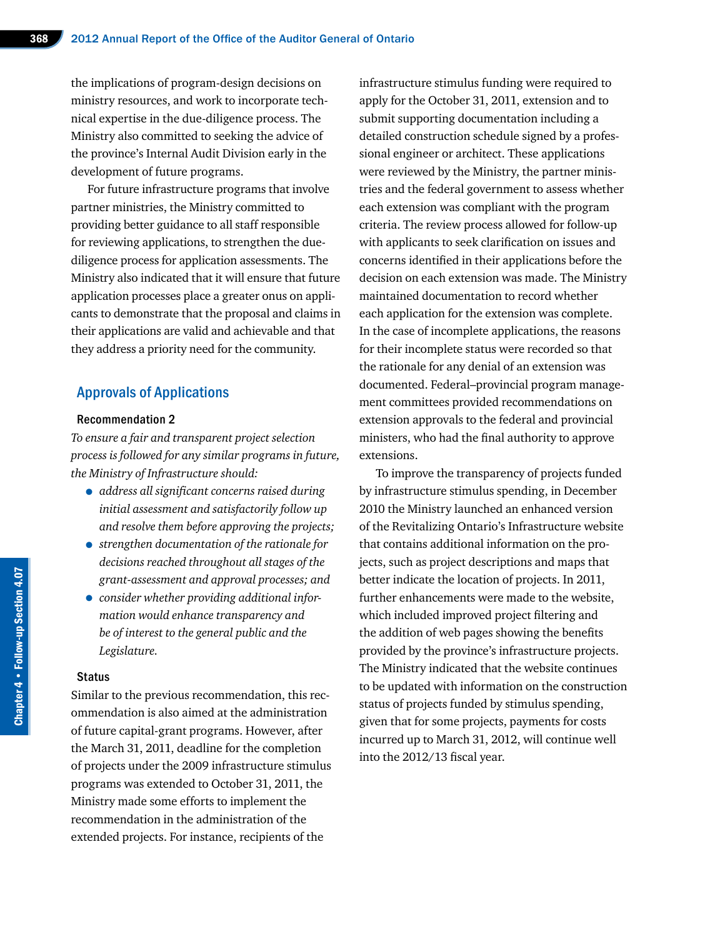the implications of program-design decisions on ministry resources, and work to incorporate technical expertise in the due-diligence process. The Ministry also committed to seeking the advice of the province's Internal Audit Division early in the development of future programs.

For future infrastructure programs that involve partner ministries, the Ministry committed to providing better guidance to all staff responsible for reviewing applications, to strengthen the duediligence process for application assessments. The Ministry also indicated that it will ensure that future application processes place a greater onus on applicants to demonstrate that the proposal and claims in their applications are valid and achievable and that they address a priority need for the community.

#### Approvals of Applications

#### Recommendation 2

*To ensure a fair and transparent project selection process is followed for any similar programs in future, the Ministry of Infrastructure should:*

- *address all significant concerns raised during initial assessment and satisfactorily follow up and resolve them before approving the projects;*
- *strengthen documentation of the rationale for decisions reached throughout all stages of the grant-assessment and approval processes; and*
- *consider whether providing additional information would enhance transparency and be of interest to the general public and the Legislature.*

#### **Status**

Similar to the previous recommendation, this recommendation is also aimed at the administration of future capital-grant programs. However, after the March 31, 2011, deadline for the completion of projects under the 2009 infrastructure stimulus programs was extended to October 31, 2011, the Ministry made some efforts to implement the recommendation in the administration of the extended projects. For instance, recipients of the

infrastructure stimulus funding were required to apply for the October 31, 2011, extension and to submit supporting documentation including a detailed construction schedule signed by a professional engineer or architect. These applications were reviewed by the Ministry, the partner ministries and the federal government to assess whether each extension was compliant with the program criteria. The review process allowed for follow-up with applicants to seek clarification on issues and concerns identified in their applications before the decision on each extension was made. The Ministry maintained documentation to record whether each application for the extension was complete. In the case of incomplete applications, the reasons for their incomplete status were recorded so that the rationale for any denial of an extension was documented. Federal–provincial program management committees provided recommendations on extension approvals to the federal and provincial ministers, who had the final authority to approve extensions.

To improve the transparency of projects funded by infrastructure stimulus spending, in December 2010 the Ministry launched an enhanced version of the Revitalizing Ontario's Infrastructure website that contains additional information on the projects, such as project descriptions and maps that better indicate the location of projects. In 2011, further enhancements were made to the website, which included improved project filtering and the addition of web pages showing the benefits provided by the province's infrastructure projects. The Ministry indicated that the website continues to be updated with information on the construction status of projects funded by stimulus spending, given that for some projects, payments for costs incurred up to March 31, 2012, will continue well into the 2012/13 fiscal year.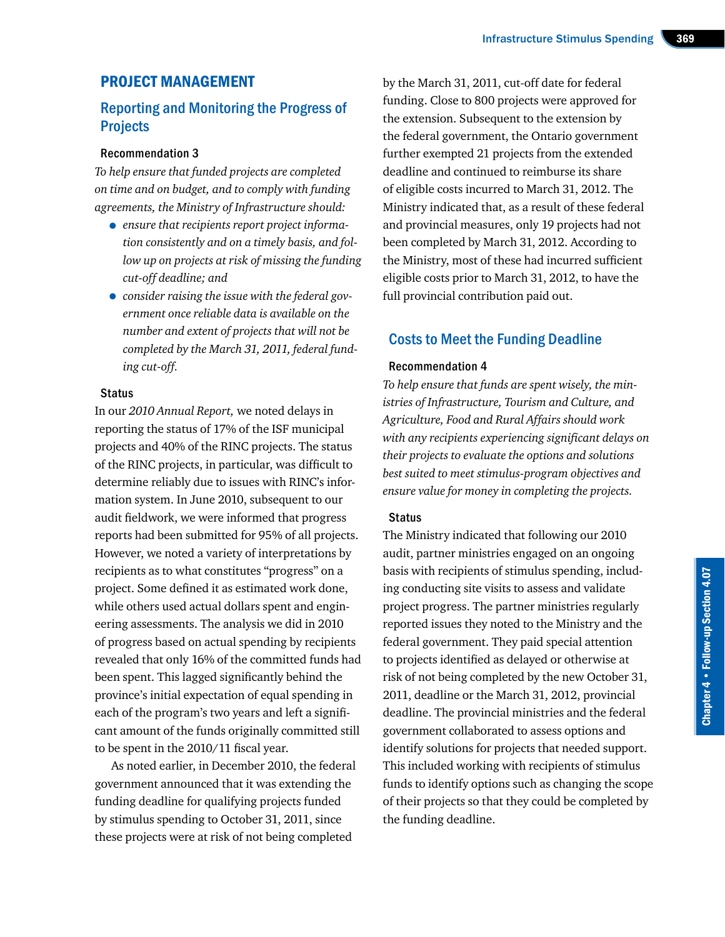#### PROJECT MANAGEMENT

#### Reporting and Monitoring the Progress of **Projects**

#### Recommendation 3

*To help ensure that funded projects are completed on time and on budget, and to comply with funding agreements, the Ministry of Infrastructure should:*

- *ensure that recipients report project information consistently and on a timely basis, and follow up on projects at risk of missing the funding cut-off deadline; and*
- *consider raising the issue with the federal government once reliable data is available on the number and extent of projects that will not be completed by the March 31, 2011, federal funding cut-off.*

#### **Status**

In our *2010 Annual Report,* we noted delays in reporting the status of 17% of the ISF municipal projects and 40% of the RINC projects. The status of the RINC projects, in particular, was difficult to determine reliably due to issues with RINC's information system. In June 2010, subsequent to our audit fieldwork, we were informed that progress reports had been submitted for 95% of all projects. However, we noted a variety of interpretations by recipients as to what constitutes "progress" on a project. Some defined it as estimated work done, while others used actual dollars spent and engineering assessments. The analysis we did in 2010 of progress based on actual spending by recipients revealed that only 16% of the committed funds had been spent. This lagged significantly behind the province's initial expectation of equal spending in each of the program's two years and left a significant amount of the funds originally committed still to be spent in the 2010/11 fiscal year.

As noted earlier, in December 2010, the federal government announced that it was extending the funding deadline for qualifying projects funded by stimulus spending to October 31, 2011, since these projects were at risk of not being completed

by the March 31, 2011, cut-off date for federal funding. Close to 800 projects were approved for the extension. Subsequent to the extension by the federal government, the Ontario government further exempted 21 projects from the extended deadline and continued to reimburse its share of eligible costs incurred to March 31, 2012. The Ministry indicated that, as a result of these federal and provincial measures, only 19 projects had not been completed by March 31, 2012. According to the Ministry, most of these had incurred sufficient eligible costs prior to March 31, 2012, to have the full provincial contribution paid out.

#### Costs to Meet the Funding Deadline

#### Recommendation 4

*To help ensure that funds are spent wisely, the ministries of Infrastructure, Tourism and Culture, and Agriculture, Food and Rural Affairs should work with any recipients experiencing significant delays on their projects to evaluate the options and solutions best suited to meet stimulus-program objectives and ensure value for money in completing the projects.*

#### **Status**

The Ministry indicated that following our 2010 audit, partner ministries engaged on an ongoing basis with recipients of stimulus spending, including conducting site visits to assess and validate project progress. The partner ministries regularly reported issues they noted to the Ministry and the federal government. They paid special attention to projects identified as delayed or otherwise at risk of not being completed by the new October 31, 2011, deadline or the March 31, 2012, provincial deadline. The provincial ministries and the federal government collaborated to assess options and identify solutions for projects that needed support. This included working with recipients of stimulus funds to identify options such as changing the scope of their projects so that they could be completed by the funding deadline.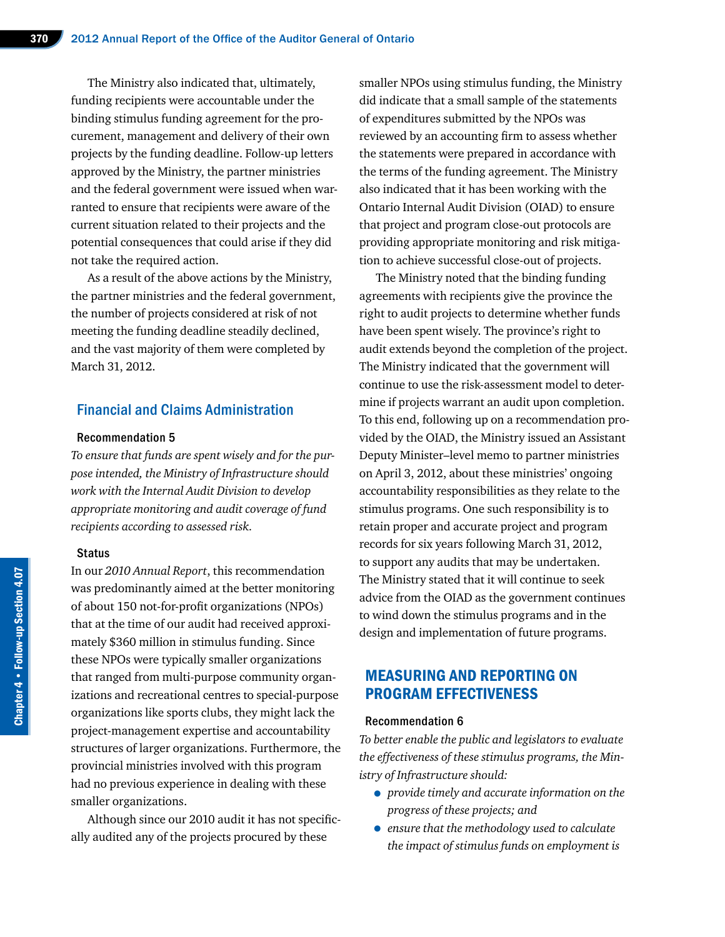The Ministry also indicated that, ultimately, funding recipients were accountable under the binding stimulus funding agreement for the procurement, management and delivery of their own projects by the funding deadline. Follow-up letters approved by the Ministry, the partner ministries and the federal government were issued when warranted to ensure that recipients were aware of the current situation related to their projects and the potential consequences that could arise if they did not take the required action.

As a result of the above actions by the Ministry, the partner ministries and the federal government, the number of projects considered at risk of not meeting the funding deadline steadily declined, and the vast majority of them were completed by March 31, 2012.

#### Financial and Claims Administration

#### Recommendation 5

*To ensure that funds are spent wisely and for the purpose intended, the Ministry of Infrastructure should work with the Internal Audit Division to develop appropriate monitoring and audit coverage of fund recipients according to assessed risk.*

#### **Status**

In our *2010 Annual Report*, this recommendation was predominantly aimed at the better monitoring of about 150 not-for-profit organizations (NPOs) that at the time of our audit had received approximately \$360 million in stimulus funding. Since these NPOs were typically smaller organizations that ranged from multi-purpose community organizations and recreational centres to special-purpose organizations like sports clubs, they might lack the project-management expertise and accountability structures of larger organizations. Furthermore, the provincial ministries involved with this program had no previous experience in dealing with these smaller organizations.

Although since our 2010 audit it has not specifically audited any of the projects procured by these

smaller NPOs using stimulus funding, the Ministry did indicate that a small sample of the statements of expenditures submitted by the NPOs was reviewed by an accounting firm to assess whether the statements were prepared in accordance with the terms of the funding agreement. The Ministry also indicated that it has been working with the Ontario Internal Audit Division (OIAD) to ensure that project and program close-out protocols are providing appropriate monitoring and risk mitigation to achieve successful close-out of projects.

The Ministry noted that the binding funding agreements with recipients give the province the right to audit projects to determine whether funds have been spent wisely. The province's right to audit extends beyond the completion of the project. The Ministry indicated that the government will continue to use the risk-assessment model to determine if projects warrant an audit upon completion. To this end, following up on a recommendation provided by the OIAD, the Ministry issued an Assistant Deputy Minister–level memo to partner ministries on April 3, 2012, about these ministries' ongoing accountability responsibilities as they relate to the stimulus programs. One such responsibility is to retain proper and accurate project and program records for six years following March 31, 2012, to support any audits that may be undertaken. The Ministry stated that it will continue to seek advice from the OIAD as the government continues to wind down the stimulus programs and in the design and implementation of future programs.

#### MEASURING AND REPORTING ON PROGRAM EFFECTIVENESS

#### Recommendation 6

*To better enable the public and legislators to evaluate the effectiveness of these stimulus programs, the Ministry of Infrastructure should:*

- *provide timely and accurate information on the progress of these projects; and*
- *ensure that the methodology used to calculate the impact of stimulus funds on employment is*